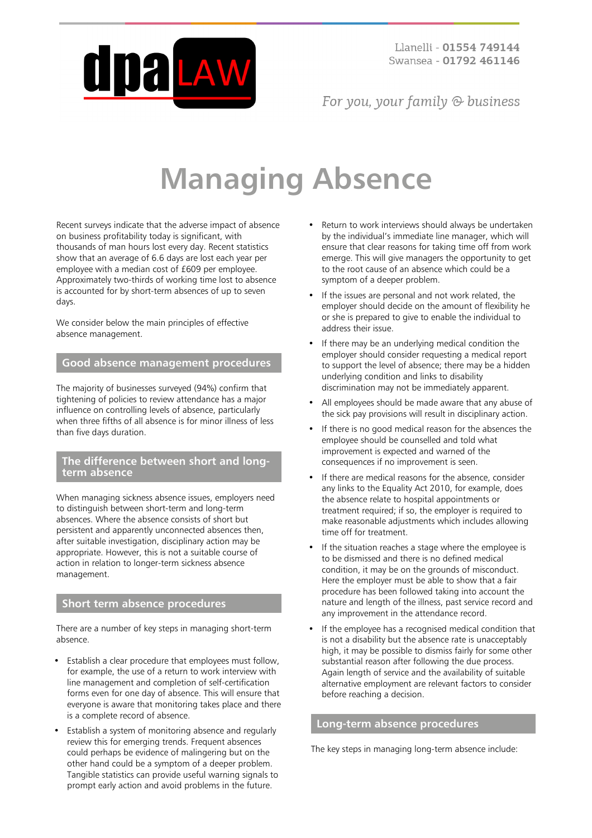

For you, your family  $\odot$  business

# **Managing Absence**

Recent surveys indicate that the adverse impact of absence on business profitability today is significant, with thousands of man hours lost every day. Recent statistics show that an average of 6.6 days are lost each year per employee with a median cost of £609 per employee. Approximately two-thirds of working time lost to absence is accounted for by short-term absences of up to seven days.

We consider below the main principles of effective absence management.

## **Good absence management procedures**

The majority of businesses surveyed (94%) confirm that tightening of policies to review attendance has a major influence on controlling levels of absence, particularly when three fifths of all absence is for minor illness of less than five days duration.

## **The difference between short and longterm absence**

When managing sickness absence issues, employers need to distinguish between short-term and long-term absences. Where the absence consists of short but persistent and apparently unconnected absences then, after suitable investigation, disciplinary action may be appropriate. However, this is not a suitable course of action in relation to longer-term sickness absence management.

## **Short term absence procedures**

There are a number of key steps in managing short-term absence.

- Establish a clear procedure that employees must follow, for example, the use of a return to work interview with line management and completion of self-certification forms even for one day of absence. This will ensure that everyone is aware that monitoring takes place and there is a complete record of absence.
- Establish a system of monitoring absence and regularly review this for emerging trends. Frequent absences could perhaps be evidence of malingering but on the other hand could be a symptom of a deeper problem. Tangible statistics can provide useful warning signals to prompt early action and avoid problems in the future.
- Return to work interviews should always be undertaken by the individual's immediate line manager, which will ensure that clear reasons for taking time off from work emerge. This will give managers the opportunity to get to the root cause of an absence which could be a symptom of a deeper problem.
- If the issues are personal and not work related, the employer should decide on the amount of flexibility he or she is prepared to give to enable the individual to address their issue.
- If there may be an underlying medical condition the employer should consider requesting a medical report to support the level of absence; there may be a hidden underlying condition and links to disability discrimination may not be immediately apparent.
- All employees should be made aware that any abuse of the sick pay provisions will result in disciplinary action.
- If there is no good medical reason for the absences the employee should be counselled and told what improvement is expected and warned of the consequences if no improvement is seen.
- If there are medical reasons for the absence, consider any links to the Equality Act 2010, for example, does the absence relate to hospital appointments or treatment required; if so, the employer is required to make reasonable adjustments which includes allowing time off for treatment.
- If the situation reaches a stage where the employee is to be dismissed and there is no defined medical condition, it may be on the grounds of misconduct. Here the employer must be able to show that a fair procedure has been followed taking into account the nature and length of the illness, past service record and any improvement in the attendance record.
- If the employee has a recognised medical condition that is not a disability but the absence rate is unacceptably high, it may be possible to dismiss fairly for some other substantial reason after following the due process. Again length of service and the availability of suitable alternative employment are relevant factors to consider before reaching a decision.

## **Long-term absence procedures**

The key steps in managing long-term absence include: